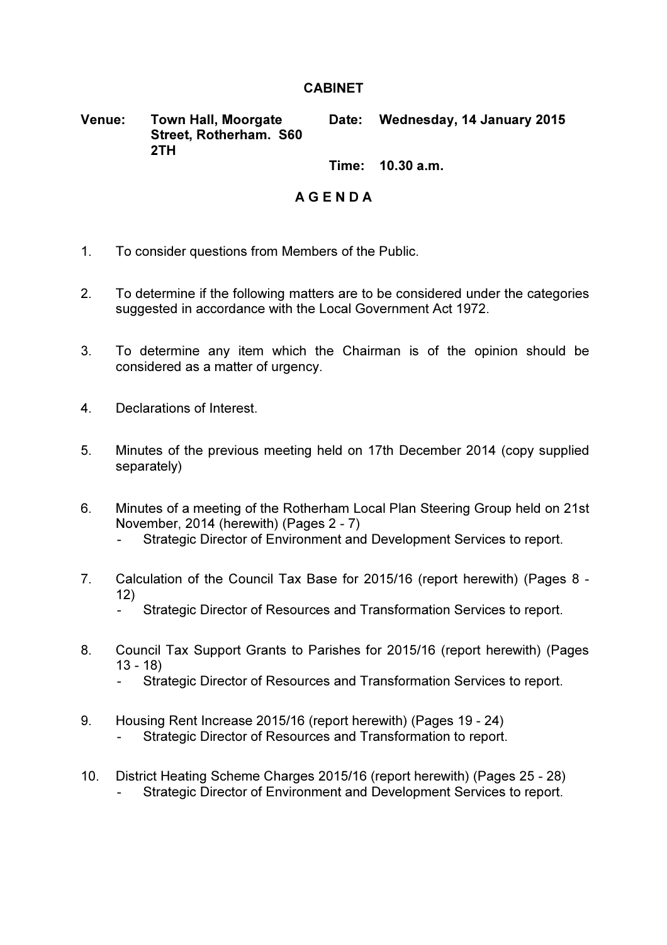## **CABINET**

Venue: Town Hall, Moorgate Street, Rotherham. S60 2TH Date: Wednesday, 14 January 2015

Time: 10.30 a.m.

## A G E N D A

- 1. To consider questions from Members of the Public.
- 2. To determine if the following matters are to be considered under the categories suggested in accordance with the Local Government Act 1972.
- 3. To determine any item which the Chairman is of the opinion should be considered as a matter of urgency.
- 4. Declarations of Interest.
- 5. Minutes of the previous meeting held on 17th December 2014 (copy supplied separately)
- 6. Minutes of a meeting of the Rotherham Local Plan Steering Group held on 21st November, 2014 (herewith) (Pages 2 - 7)
	- Strategic Director of Environment and Development Services to report.
- 7. Calculation of the Council Tax Base for 2015/16 (report herewith) (Pages 8 12)
	- Strategic Director of Resources and Transformation Services to report.
- 8. Council Tax Support Grants to Parishes for 2015/16 (report herewith) (Pages 13 - 18)
	- Strategic Director of Resources and Transformation Services to report.
- 9. Housing Rent Increase 2015/16 (report herewith) (Pages 19 24) Strategic Director of Resources and Transformation to report.
- 10. District Heating Scheme Charges 2015/16 (report herewith) (Pages 25 28) Strategic Director of Environment and Development Services to report.